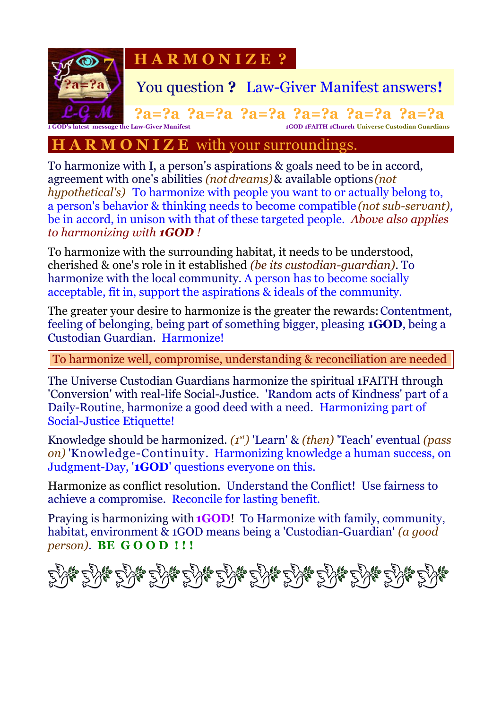

#### **A R M O N I Z E** with your surroundings.

To harmonize with I, a person's aspirations & goals need to be in accord, agreement with one's abilities *(notdreams)*& available options *(not hypothetical's)* To harmonize with people you want to or actually belong to, a person's behavior & thinking needs to become compatible *(not sub-servant)*, be in accord, in unison with that of these targeted people. *Above also applies to harmonizing with 1GOD !*

To harmonize with the surrounding habitat, it needs to be understood, cherished & one's role in it established *(be its custodian-guardian)*. To harmonize with the local community. A person has to become socially acceptable, fit in, support the aspirations & ideals of the community.

The greater your desire to harmonize is the greater the rewards: Contentment, feeling of belonging, being part of something bigger, pleasing **1GOD**, being a Custodian Guardian. Harmonize!

To harmonize well, compromise, understanding & reconciliation are needed

The Universe Custodian Guardians harmonize the spiritual 1FAITH through 'Conversion' with real-life Social-Justice. 'Random acts of Kindness' part of a Daily-Routine, harmonize a good deed with a need. Harmonizing part of Social-Justice Etiquette!

Knowledge should be harmonized. *(1st)* 'Learn' & *(then)* 'Teach' eventual *(pass on)* 'Knowledge-Continuity. Harmonizing knowledge a human success, on Judgment-Day, '**1GOD**' questions everyone on this.

Harmonize as conflict resolution. Understand the Conflict! Use fairness to achieve a compromise. Reconcile for lasting benefit.

Praying is harmonizing with**1GOD**! To Harmonize with family, community, habitat, environment & 1GOD means being a 'Custodian-Guardian' *(a good person)*. **BE G O O D ! ! !**